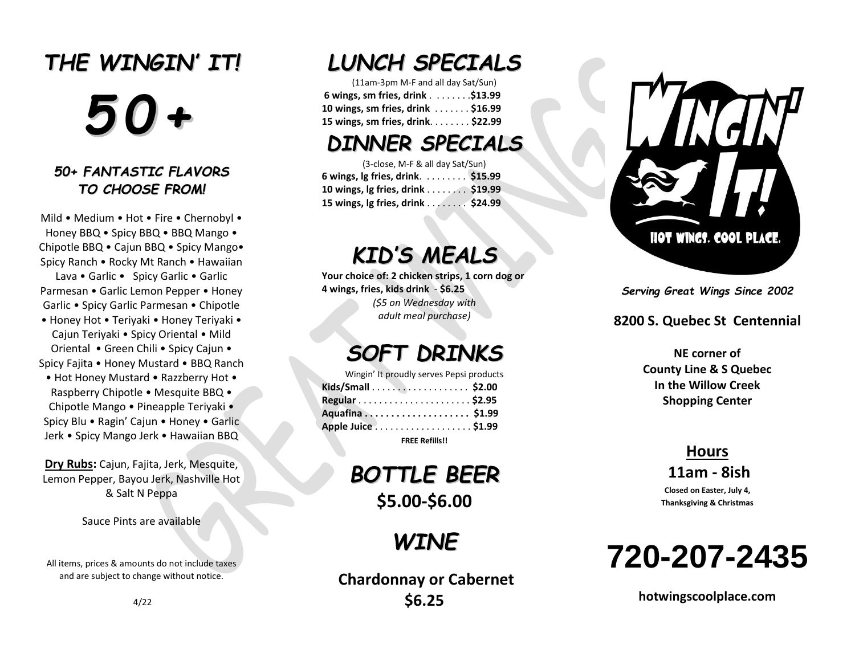# *THE WING IN ' I T! 5 0 +*

#### *5 0 + FA N TA S TIC FL A VO R S* TO CHOOSE FROM!

Mild • Medium • Hot • Fire • Chernobyl • Honey BBQ • Spicy BBQ • BBQ Mango • Chipotle BBQ • Cajun BBQ • Spicy Mango• Spicy Ranch • Rocky Mt Ranch • Hawaiian Lava • Garlic • Spicy Garlic • Garlic Parmesan • Garlic Lemon Pepper • Honey Garlic • Spicy Garlic Parmesan • Chipotle

- Honey Hot Teriyaki Honey Teriyaki Cajun Teriyaki • Spicy Oriental • Mild Oriental • Green Chili • Spicy Cajun • Spicy Fajita • Honey Mustard • BBQ Ranch
- Hot Honey Mustard Razzberry Hot Raspberry Chipotle • Mesquite BBQ • Chipotle Mango • Pineapple Teriyaki • Spicy Blu • Ragin' Cajun • Honey • Garlic Jerk • Spicy Mango Jerk • Hawaiian BBQ

**Dry Rubs :** Cajun, Fajita , Jerk, Mesquite, Lemon Pepper, Bayou Jerk, Nashville Hot & Salt N Peppa

Sauce Pints are available

All items, prices & amounts do not include taxes and are subject to change without notice.

### *L UNCH S PECIA L S*

(11am -3pm M -F and all day Sat/Sun) **6 wings, sm fries, drink** . . . . . . . .**\$1 3 .99 10 wings, sm fries , drink** . . . . . . . **\$1 6.99 15 wings, sm fries , drink**. . . . . . . . **\$ 2 2.99**

### *D INN ER S PECIA L S*

| (3-close, M-F & all day Sat/Sun)  |  |
|-----------------------------------|--|
| 6 wings, lg fries, drink. \$15.99 |  |
| 10 wings, lg fries, drink \$19.99 |  |
| 15 wings, Ig fries, drink \$24.99 |  |

## *KID 'S M EA L S*

**Your choice of: 2 chicken strips, 1 corn dog or 4 wings, fries, kid s drink** - **\$6.25** *(\$ 5 on Wednesday with adult meal purchase )*

### *S O F T D R INKS*

| Wingin' It proudly serves Pepsi products |  |
|------------------------------------------|--|
|                                          |  |
|                                          |  |
|                                          |  |
| Apple Juice \$1.99                       |  |
| <b>FREE Refills!!</b>                    |  |

### *B O TTL E B EER* **\$ 5.00 - \$6.0 0**

*WIN E*

**Chardonnay or Cabernet \$6.25**



*Serving Great Wings Since 200 2*

#### **8200 S. Quebec St Centennial**

**NE corner of County Line & S Quebec In the Willow Creek Shopping Center**

#### **Hours 11am - 8ish Closed on Easter, July 4,**

**Thanksgiving & Christmas**

**720 -207 -2435**

**hotwingscoolplac e.com**